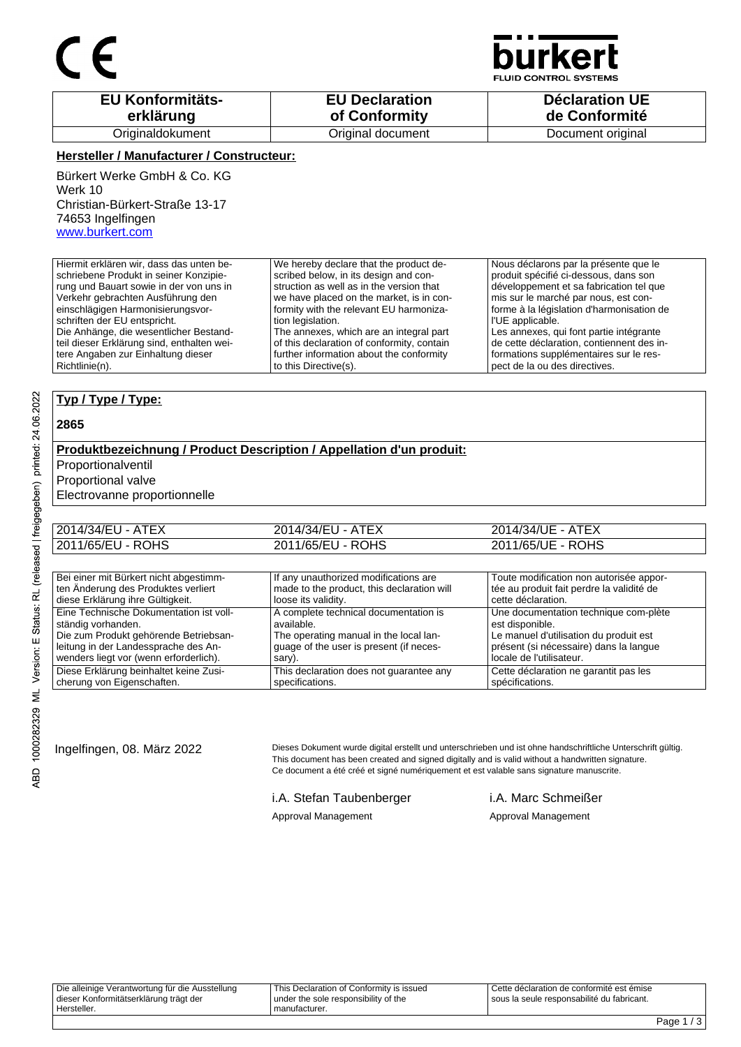

**JID CONTROL SYSTEMS** 

| <b>EU Konformitäts-</b> | <b>EU Declaration</b> | <b>Déclaration UE</b> |
|-------------------------|-----------------------|-----------------------|
| erklärung               | of Conformity         | de Conformité         |
| Originaldokument        | Original document     | Document original     |

#### **Hersteller / Manufacturer / Constructeur:**

Bürkert Werke GmbH & Co. KG Werk 10 Christian-Bürkert-Straße 13-17 74653 Ingelfingen www.burkert.com

Hiermit erklären wir, dass das unten beschriebene Produkt in seiner Konzipierung und Bauart sowie in der von uns in Verkehr gebrachten Ausführung den einschlägigen Harmonisierungsvorschriften der EU entspricht. Die Anhänge, die wesentlicher Bestandteil dieser Erklärung sind, enthalten weitere Angaben zur Einhaltung dieser Richtlinie(n). We hereby declare that the product described below, in its design and construction as well as in the version that we have placed on the market, is in conformity with the relevant EU harmonization legislation. The annexes, which are an integral part of this declaration of conformity, contain further information about the conformity to this Directive(s). Nous déclarons par la présente que le produit spécifié ci-dessous, dans son développement et sa fabrication tel que mis sur le marché par nous, est conforme à la législation d'harmonisation de l'UE applicable. Les annexes, qui font partie intégrante de cette déclaration, contiennent des informations supplémentaires sur le respect de la ou des directives.

#### **Typ / Type / Type:**

#### **2865**

### **Produktbezeichnung / Product Description / Appellation d'un produit:**

Proportionalventil

Proportional valve

Electrovanne proportionnelle

| 2014/34/EU - ATEX | 2014/34/EU - ATEX | 2014/34/UE - ATEX |  |
|-------------------|-------------------|-------------------|--|
| 2011/65/EU - ROHS | 2011/65/EU - ROHS | 2011/65/UE - ROHS |  |

| Bei einer mit Bürkert nicht abgestimm-  | If any unauthorized modifications are      | Toute modification non autorisée appor-   |
|-----------------------------------------|--------------------------------------------|-------------------------------------------|
| ten Änderung des Produktes verliert     | made to the product, this declaration will | tée au produit fait perdre la validité de |
| diese Erklärung ihre Gültigkeit.        | loose its validity.                        | cette déclaration.                        |
| Eine Technische Dokumentation ist voll- | A complete technical documentation is      | Une documentation technique com-plète     |
| ständig vorhanden.                      | available.                                 | est disponible.                           |
| Die zum Produkt gehörende Betriebsan-   | The operating manual in the local lan-     | Le manuel d'utilisation du produit est    |
| leitung in der Landessprache des An-    | quage of the user is present (if neces-    | présent (si nécessaire) dans la langue    |
| wenders liegt vor (wenn erforderlich).  | sary).                                     | l locale de l'utilisateur.                |
| Diese Erklärung beinhaltet keine Zusi-  | This declaration does not guarantee any    | Cette déclaration ne garantit pas les     |
| cherung von Eigenschaften.              | specifications.                            | spécifications.                           |

Ingelfingen, 08. März 2022 Dieses Dokument wurde digital erstellt und unterschrieben und ist ohne handschriftliche Unterschrift gültig. This document has been created and signed digitally and is valid without a handwritten signature. Ce document a été créé et signé numériquement et est valable sans signature manuscrite.

i.A. Stefan Taubenberger i.A. Marc Schmeißer

Approval Management Approval Management

Die alleinige Verantwortung für die Ausstellung dieser Konformitätserklärung trägt der Hersteller. This Declaration of Conformity is issued under the sole responsibility of the manufacturer. Cette déclaration de conformité est émise sous la seule responsabilité du fabricant.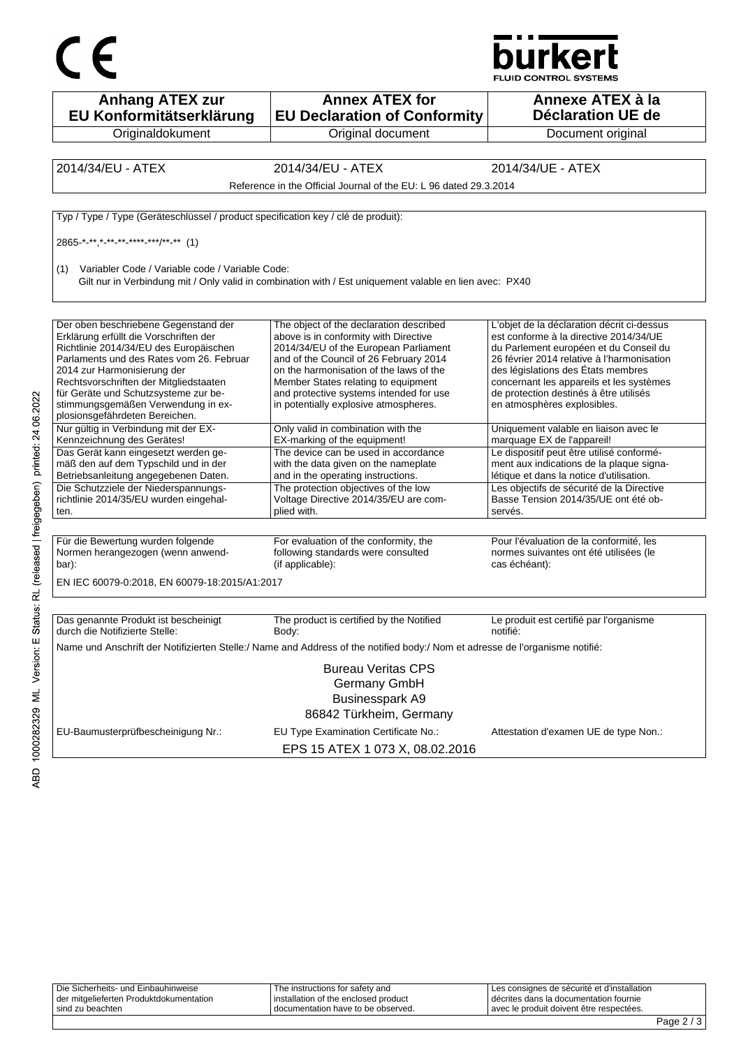



| <b>Anhang ATEX zur</b><br>EU Konformitätserklärung                                                                                                                                                                                                                                                                                                            | <b>Annex ATEX for</b><br><b>EU Declaration of Conformity</b>                                                                                                                                                                                                                                                                              | Annexe ATEX à la<br><b>Déclaration UE de</b>                                                                                                                                                                                                                                                                                            |
|---------------------------------------------------------------------------------------------------------------------------------------------------------------------------------------------------------------------------------------------------------------------------------------------------------------------------------------------------------------|-------------------------------------------------------------------------------------------------------------------------------------------------------------------------------------------------------------------------------------------------------------------------------------------------------------------------------------------|-----------------------------------------------------------------------------------------------------------------------------------------------------------------------------------------------------------------------------------------------------------------------------------------------------------------------------------------|
| Originaldokument                                                                                                                                                                                                                                                                                                                                              | Original document                                                                                                                                                                                                                                                                                                                         | Document original                                                                                                                                                                                                                                                                                                                       |
| 2014/34/EU - ATEX                                                                                                                                                                                                                                                                                                                                             | 2014/34/EU - ATEX                                                                                                                                                                                                                                                                                                                         | 2014/34/UE - ATEX                                                                                                                                                                                                                                                                                                                       |
|                                                                                                                                                                                                                                                                                                                                                               | Reference in the Official Journal of the EU: L 96 dated 29.3.2014                                                                                                                                                                                                                                                                         |                                                                                                                                                                                                                                                                                                                                         |
|                                                                                                                                                                                                                                                                                                                                                               |                                                                                                                                                                                                                                                                                                                                           |                                                                                                                                                                                                                                                                                                                                         |
| Typ / Type / Type (Geräteschlüssel / product specification key / clé de produit):                                                                                                                                                                                                                                                                             |                                                                                                                                                                                                                                                                                                                                           |                                                                                                                                                                                                                                                                                                                                         |
| $2865$ <sup>*</sup> -**,*_**_**_****_***/**_** (1)                                                                                                                                                                                                                                                                                                            |                                                                                                                                                                                                                                                                                                                                           |                                                                                                                                                                                                                                                                                                                                         |
| (1) Variabler Code / Variable code / Variable Code:                                                                                                                                                                                                                                                                                                           | Gilt nur in Verbindung mit / Only valid in combination with / Est uniquement valable en lien avec: PX40                                                                                                                                                                                                                                   |                                                                                                                                                                                                                                                                                                                                         |
| Der oben beschriebene Gegenstand der<br>Erklärung erfüllt die Vorschriften der<br>Richtlinie 2014/34/EU des Europäischen<br>Parlaments und des Rates vom 26. Februar<br>2014 zur Harmonisierung der<br>Rechtsvorschriften der Mitgliedstaaten<br>für Geräte und Schutzsysteme zur be-<br>stimmungsgemäßen Verwendung in ex-<br>plosionsgefährdeten Bereichen. | The object of the declaration described<br>above is in conformity with Directive<br>2014/34/EU of the European Parliament<br>and of the Council of 26 February 2014<br>on the harmonisation of the laws of the<br>Member States relating to equipment<br>and protective systems intended for use<br>in potentially explosive atmospheres. | L'objet de la déclaration décrit ci-dessus<br>est conforme à la directive 2014/34/UE<br>du Parlement européen et du Conseil du<br>26 février 2014 relative à l'harmonisation<br>des législations des États membres<br>concernant les appareils et les systèmes<br>de protection destinés à être utilisés<br>en atmosphères explosibles. |
| Nur gültig in Verbindung mit der EX-<br>Kennzeichnung des Gerätes!                                                                                                                                                                                                                                                                                            | Only valid in combination with the<br>EX-marking of the equipment!                                                                                                                                                                                                                                                                        | Uniquement valable en liaison avec le<br>marquage EX de l'appareil!                                                                                                                                                                                                                                                                     |
| Das Gerät kann eingesetzt werden ge-<br>mäß den auf dem Typschild und in der<br>Betriebsanleitung angegebenen Daten.                                                                                                                                                                                                                                          | The device can be used in accordance<br>with the data given on the nameplate<br>and in the operating instructions.                                                                                                                                                                                                                        | Le dispositif peut être utilisé conformé-<br>ment aux indications de la plaque signa-<br>létique et dans la notice d'utilisation.                                                                                                                                                                                                       |
| Die Schutzziele der Niederspannungs-<br>richtlinie 2014/35/EU wurden eingehal-<br>ten.                                                                                                                                                                                                                                                                        | The protection objectives of the low<br>Voltage Directive 2014/35/EU are com-<br>plied with.                                                                                                                                                                                                                                              | Les objectifs de sécurité de la Directive<br>Basse Tension 2014/35/UE ont été ob-<br>servés.                                                                                                                                                                                                                                            |
|                                                                                                                                                                                                                                                                                                                                                               |                                                                                                                                                                                                                                                                                                                                           |                                                                                                                                                                                                                                                                                                                                         |
| Für die Bewertung wurden folgende<br>Normen herangezogen (wenn anwend-<br>bar):                                                                                                                                                                                                                                                                               | For evaluation of the conformity, the<br>following standards were consulted<br>(if applicable):                                                                                                                                                                                                                                           | Pour l'évaluation de la conformité, les<br>normes suivantes ont été utilisées (le<br>cas échéant):                                                                                                                                                                                                                                      |
| EN IEC 60079-0:2018, EN 60079-18:2015/A1:2017                                                                                                                                                                                                                                                                                                                 |                                                                                                                                                                                                                                                                                                                                           |                                                                                                                                                                                                                                                                                                                                         |
|                                                                                                                                                                                                                                                                                                                                                               |                                                                                                                                                                                                                                                                                                                                           |                                                                                                                                                                                                                                                                                                                                         |
| Das genannte Produkt ist bescheinigt<br>durch die Notifizierte Stelle:                                                                                                                                                                                                                                                                                        | The product is certified by the Notified<br>Body:                                                                                                                                                                                                                                                                                         | Le produit est certifié par l'organisme<br>notifié:                                                                                                                                                                                                                                                                                     |
|                                                                                                                                                                                                                                                                                                                                                               | Name und Anschrift der Notifizierten Stelle:/ Name and Address of the notified body:/ Nom et adresse de l'organisme notifié:                                                                                                                                                                                                              |                                                                                                                                                                                                                                                                                                                                         |
|                                                                                                                                                                                                                                                                                                                                                               | <b>Bureau Veritas CPS</b><br>Germany GmbH<br><b>Businesspark A9</b><br>86842 Türkheim, Germany                                                                                                                                                                                                                                            |                                                                                                                                                                                                                                                                                                                                         |
| EU-Baumusterprüfbescheinigung Nr.:                                                                                                                                                                                                                                                                                                                            | EU Type Examination Certificate No.:<br>EPS 15 ATEX 1 073 X, 08.02.2016                                                                                                                                                                                                                                                                   | Attestation d'examen UE de type Non.:                                                                                                                                                                                                                                                                                                   |

| sind zu beachten                        | I documentation have to be observed. | avec le produit doivent être respectées.      |  |
|-----------------------------------------|--------------------------------------|-----------------------------------------------|--|
| der mitgelieferten Produktdokumentation | installation of the enclosed product | I décrites dans la documentation fournie      |  |
| Die Sicherheits- und Einbauhinweise     | The instructions for safety and      | I Les consignes de sécurité et d'installation |  |